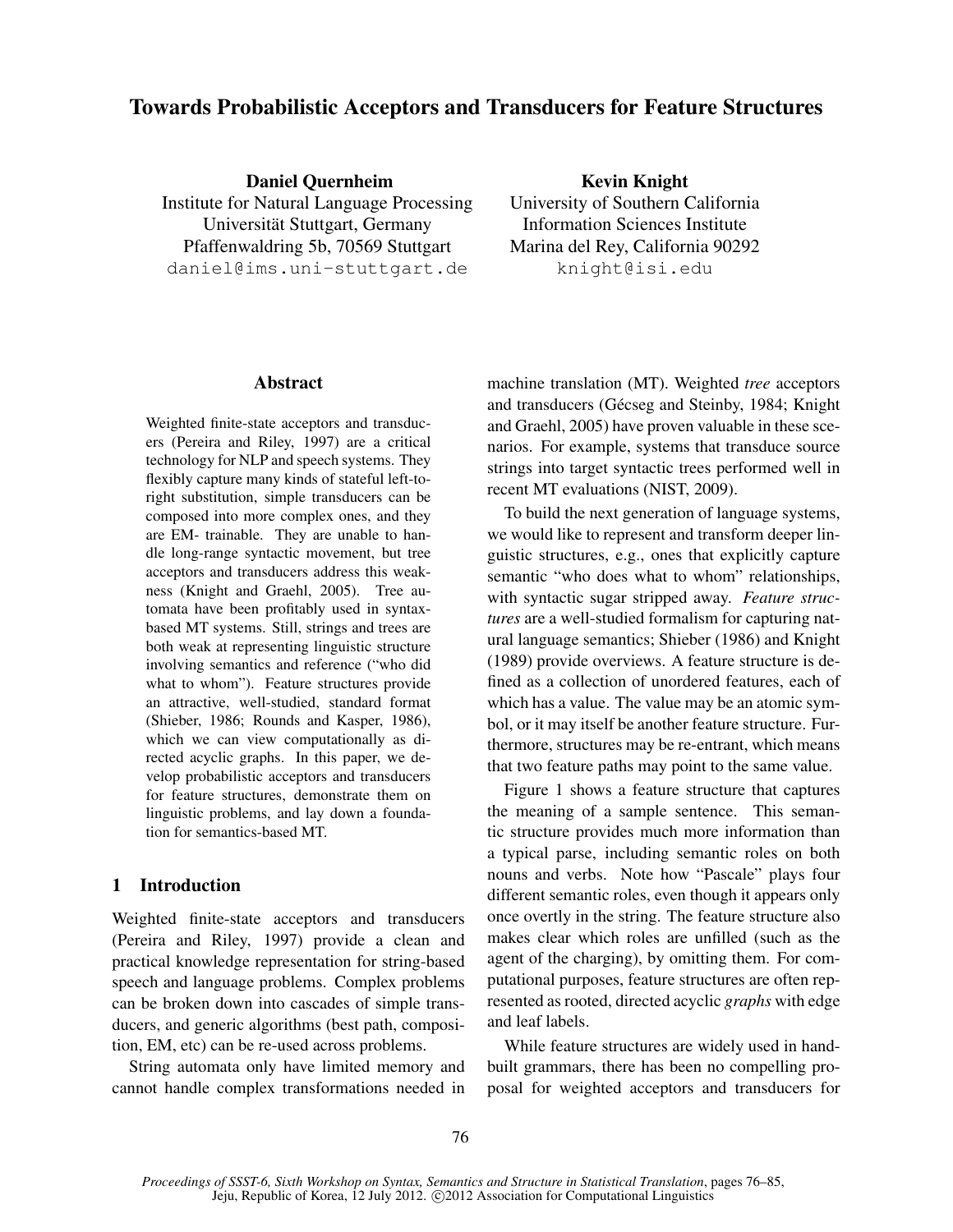# Towards Probabilistic Acceptors and Transducers for Feature Structures

Daniel Quernheim Institute for Natural Language Processing Universität Stuttgart, Germany Pfaffenwaldring 5b, 70569 Stuttgart daniel@ims.uni-stuttgart.de

Kevin Knight University of Southern California Information Sciences Institute Marina del Rey, California 90292 knight@isi.edu

## Abstract

Weighted finite-state acceptors and transducers (Pereira and Riley, 1997) are a critical technology for NLP and speech systems. They flexibly capture many kinds of stateful left-toright substitution, simple transducers can be composed into more complex ones, and they are EM- trainable. They are unable to handle long-range syntactic movement, but tree acceptors and transducers address this weakness (Knight and Graehl, 2005). Tree automata have been profitably used in syntaxbased MT systems. Still, strings and trees are both weak at representing linguistic structure involving semantics and reference ("who did what to whom"). Feature structures provide an attractive, well-studied, standard format (Shieber, 1986; Rounds and Kasper, 1986), which we can view computationally as directed acyclic graphs. In this paper, we develop probabilistic acceptors and transducers for feature structures, demonstrate them on linguistic problems, and lay down a foundation for semantics-based MT.

# 1 Introduction

Weighted finite-state acceptors and transducers (Pereira and Riley, 1997) provide a clean and practical knowledge representation for string-based speech and language problems. Complex problems can be broken down into cascades of simple transducers, and generic algorithms (best path, composition, EM, etc) can be re-used across problems.

String automata only have limited memory and cannot handle complex transformations needed in machine translation (MT). Weighted *tree* acceptors and transducers (Gécseg and Steinby, 1984; Knight and Graehl, 2005) have proven valuable in these scenarios. For example, systems that transduce source strings into target syntactic trees performed well in recent MT evaluations (NIST, 2009).

To build the next generation of language systems, we would like to represent and transform deeper linguistic structures, e.g., ones that explicitly capture semantic "who does what to whom" relationships, with syntactic sugar stripped away. *Feature structures* are a well-studied formalism for capturing natural language semantics; Shieber (1986) and Knight (1989) provide overviews. A feature structure is defined as a collection of unordered features, each of which has a value. The value may be an atomic symbol, or it may itself be another feature structure. Furthermore, structures may be re-entrant, which means that two feature paths may point to the same value.

Figure 1 shows a feature structure that captures the meaning of a sample sentence. This semantic structure provides much more information than a typical parse, including semantic roles on both nouns and verbs. Note how "Pascale" plays four different semantic roles, even though it appears only once overtly in the string. The feature structure also makes clear which roles are unfilled (such as the agent of the charging), by omitting them. For computational purposes, feature structures are often represented as rooted, directed acyclic *graphs* with edge and leaf labels.

While feature structures are widely used in handbuilt grammars, there has been no compelling proposal for weighted acceptors and transducers for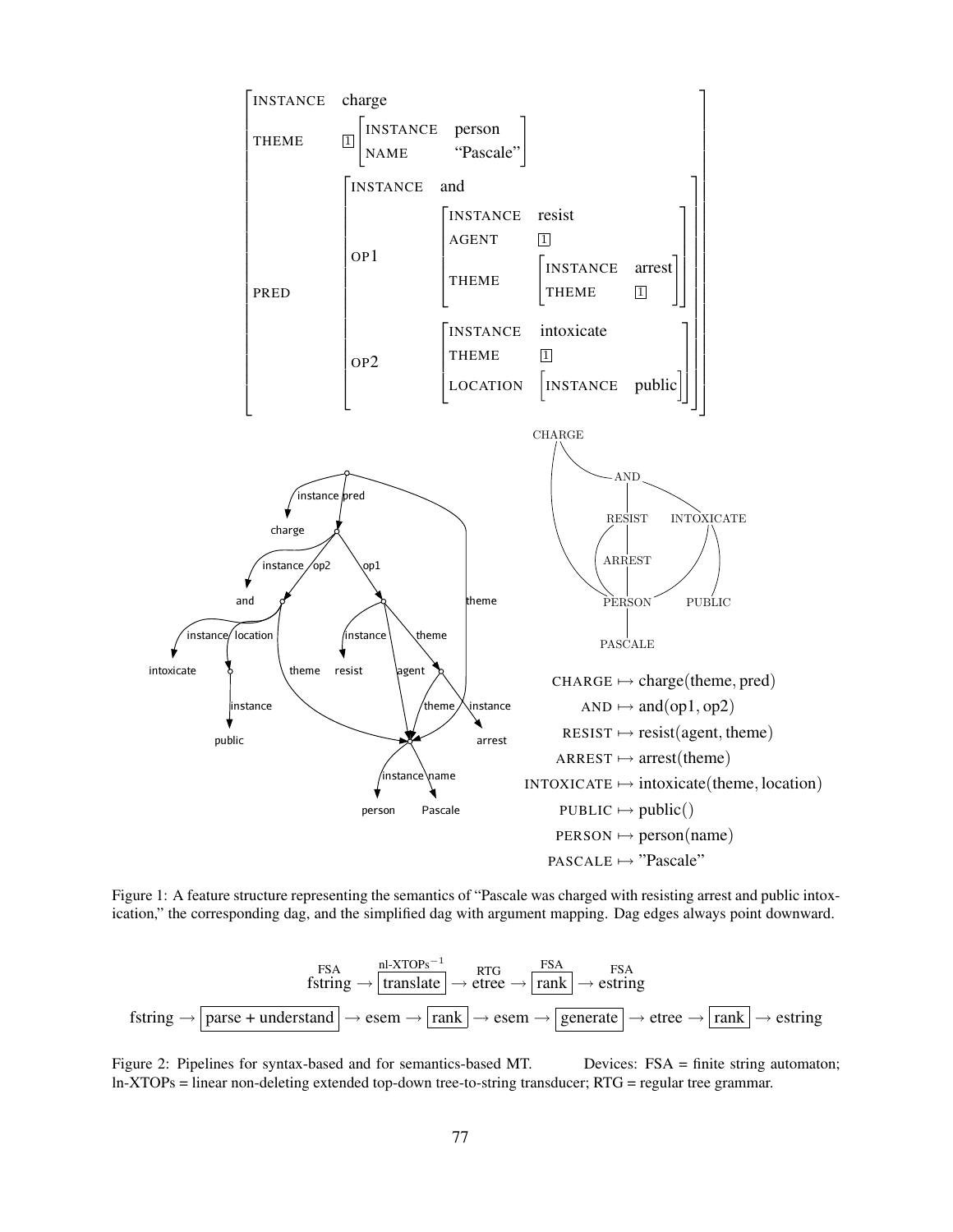

Figure 1: A feature structure representing the semantics of "Pascale was charged with resisting arrest and public intoxication," the corresponding dag, and the simplified dag with argument mapping. Dag edges always point downward.

$$
\text{fstring} \rightarrow \frac{\text{FSA}}{\text{training}} \rightarrow \frac{\text{nl-XTOPs}^{-1}}{\text{translate}} \rightarrow \text{etre} \rightarrow \frac{\text{FSA}}{\text{rank}} \rightarrow \text{estring}
$$
\n
$$
\text{fstring} \rightarrow \boxed{\text{parse} + \text{understand}} \rightarrow \text{esem} \rightarrow \boxed{\text{rank}} \rightarrow \text{esem} \rightarrow \boxed{\text{generate}} \rightarrow \text{etre} \rightarrow \boxed{\text{rank}} \rightarrow \text{estring}
$$

Figure 2: Pipelines for syntax-based and for semantics-based MT. Devices: FSA = finite string automaton; ln-XTOPs = linear non-deleting extended top-down tree-to-string transducer; RTG = regular tree grammar.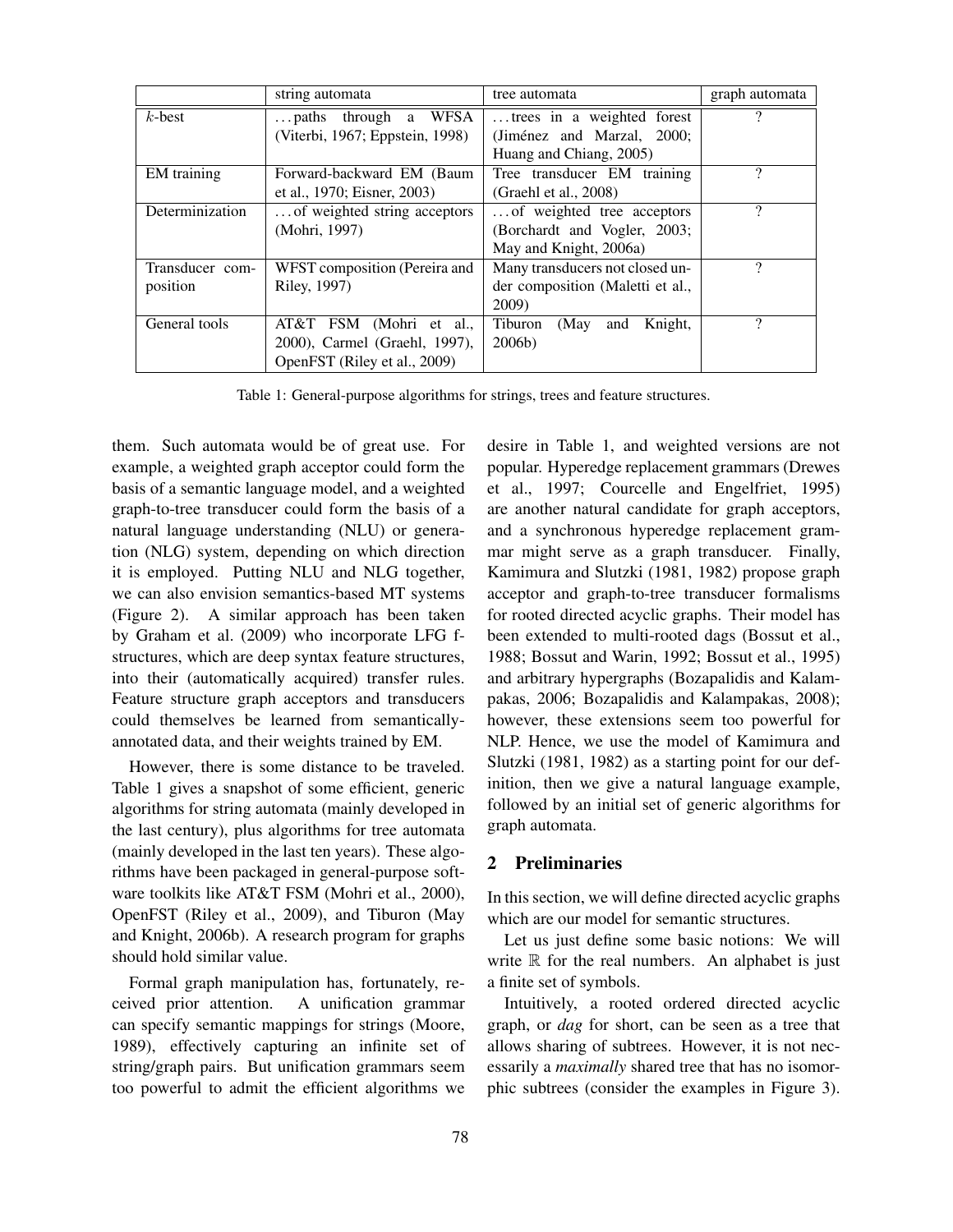|                 | string automata                  | tree automata                     | graph automata |
|-----------------|----------------------------------|-----------------------------------|----------------|
| $k$ -best       | WFSA<br>$\ldots$ paths through a | trees in a weighted forest        |                |
|                 | (Viterbi, 1967; Eppstein, 1998)  | (Jiménez and Marzal, 2000;        |                |
|                 |                                  | Huang and Chiang, 2005)           |                |
| EM training     | Forward-backward EM (Baum        | Tree transducer EM training       | າ              |
|                 | et al., 1970; Eisner, 2003)      | (Graehl et al., 2008)             |                |
| Determinization | of weighted string acceptors     | of weighted tree acceptors        | າ              |
|                 | (Mohri, 1997)                    | (Borchardt and Vogler, 2003;      |                |
|                 |                                  | May and Knight, 2006a)            |                |
| Transducer com- | WFST composition (Pereira and    | Many transducers not closed un-   | 9              |
| position        | Riley, 1997)                     | der composition (Maletti et al.,  |                |
|                 |                                  | 2009)                             |                |
| General tools   | AT&T FSM (Mohri et al.,          | (May<br>Knight,<br>Tiburon<br>and | $\Omega$       |
|                 | 2000), Carmel (Graehl, 1997),    | 2006 <sub>b</sub>                 |                |
|                 | OpenFST (Riley et al., 2009)     |                                   |                |

Table 1: General-purpose algorithms for strings, trees and feature structures.

them. Such automata would be of great use. For example, a weighted graph acceptor could form the basis of a semantic language model, and a weighted graph-to-tree transducer could form the basis of a natural language understanding (NLU) or generation (NLG) system, depending on which direction it is employed. Putting NLU and NLG together, we can also envision semantics-based MT systems (Figure 2). A similar approach has been taken by Graham et al. (2009) who incorporate LFG fstructures, which are deep syntax feature structures, into their (automatically acquired) transfer rules. Feature structure graph acceptors and transducers could themselves be learned from semanticallyannotated data, and their weights trained by EM.

However, there is some distance to be traveled. Table 1 gives a snapshot of some efficient, generic algorithms for string automata (mainly developed in the last century), plus algorithms for tree automata (mainly developed in the last ten years). These algorithms have been packaged in general-purpose software toolkits like AT&T FSM (Mohri et al., 2000), OpenFST (Riley et al., 2009), and Tiburon (May and Knight, 2006b). A research program for graphs should hold similar value.

Formal graph manipulation has, fortunately, received prior attention. A unification grammar can specify semantic mappings for strings (Moore, 1989), effectively capturing an infinite set of string/graph pairs. But unification grammars seem too powerful to admit the efficient algorithms we desire in Table 1, and weighted versions are not popular. Hyperedge replacement grammars (Drewes et al., 1997; Courcelle and Engelfriet, 1995) are another natural candidate for graph acceptors, and a synchronous hyperedge replacement grammar might serve as a graph transducer. Finally, Kamimura and Slutzki (1981, 1982) propose graph acceptor and graph-to-tree transducer formalisms for rooted directed acyclic graphs. Their model has been extended to multi-rooted dags (Bossut et al., 1988; Bossut and Warin, 1992; Bossut et al., 1995) and arbitrary hypergraphs (Bozapalidis and Kalampakas, 2006; Bozapalidis and Kalampakas, 2008); however, these extensions seem too powerful for NLP. Hence, we use the model of Kamimura and Slutzki (1981, 1982) as a starting point for our definition, then we give a natural language example, followed by an initial set of generic algorithms for graph automata.

# 2 Preliminaries

In this section, we will define directed acyclic graphs which are our model for semantic structures.

Let us just define some basic notions: We will write  $\mathbb R$  for the real numbers. An alphabet is just a finite set of symbols.

Intuitively, a rooted ordered directed acyclic graph, or *dag* for short, can be seen as a tree that allows sharing of subtrees. However, it is not necessarily a *maximally* shared tree that has no isomorphic subtrees (consider the examples in Figure 3).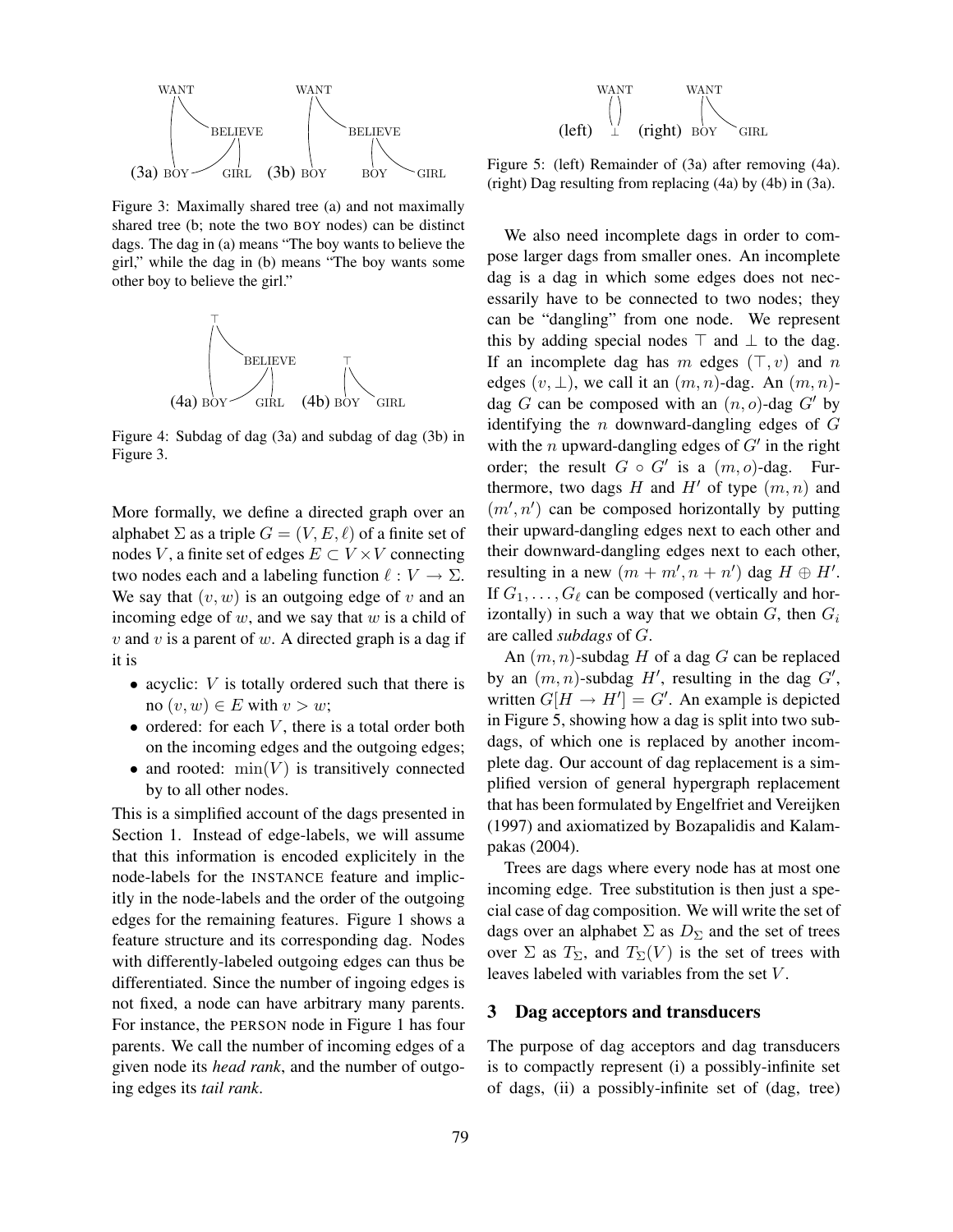

Figure 3: Maximally shared tree (a) and not maximally shared tree (b; note the two BOY nodes) can be distinct dags. The dag in (a) means "The boy wants to believe the girl," while the dag in (b) means "The boy wants some other boy to believe the girl."



Figure 4: Subdag of dag (3a) and subdag of dag (3b) in Figure 3.

More formally, we define a directed graph over an alphabet  $\Sigma$  as a triple  $G = (V, E, \ell)$  of a finite set of nodes V, a finite set of edges  $E \subset V \times V$  connecting two nodes each and a labeling function  $\ell : V \to \Sigma$ . We say that  $(v, w)$  is an outgoing edge of v and an incoming edge of  $w$ , and we say that  $w$  is a child of  $v$  and  $v$  is a parent of  $w$ . A directed graph is a dag if it is

- acyclic:  $V$  is totally ordered such that there is no  $(v, w) \in E$  with  $v > w$ ;
- ordered: for each  $V$ , there is a total order both on the incoming edges and the outgoing edges;
- and rooted:  $min(V)$  is transitively connected by to all other nodes.

This is a simplified account of the dags presented in Section 1. Instead of edge-labels, we will assume that this information is encoded explicitely in the node-labels for the INSTANCE feature and implicitly in the node-labels and the order of the outgoing edges for the remaining features. Figure 1 shows a feature structure and its corresponding dag. Nodes with differently-labeled outgoing edges can thus be differentiated. Since the number of ingoing edges is not fixed, a node can have arbitrary many parents. For instance, the PERSON node in Figure 1 has four parents. We call the number of incoming edges of a given node its *head rank*, and the number of outgoing edges its *tail rank*.



Figure 5: (left) Remainder of (3a) after removing (4a). (right) Dag resulting from replacing (4a) by (4b) in (3a).

We also need incomplete dags in order to compose larger dags from smaller ones. An incomplete dag is a dag in which some edges does not necessarily have to be connected to two nodes; they can be "dangling" from one node. We represent this by adding special nodes  $\top$  and  $\bot$  to the dag. If an incomplete dag has m edges  $(\top, v)$  and n edges  $(v, \perp)$ , we call it an  $(m, n)$ -dag. An  $(m, n)$ dag G can be composed with an  $(n, o)$ -dag G' by identifying the  $n$  downward-dangling edges of  $G$ with the *n* upward-dangling edges of  $G'$  in the right order; the result  $G \circ G'$  is a  $(m, o)$ -dag. Furthermore, two dags H and H' of type  $(m, n)$  and  $(m', n')$  can be composed horizontally by putting their upward-dangling edges next to each other and their downward-dangling edges next to each other, resulting in a new  $(m + m', n + n')$  dag  $H \oplus H'$ . If  $G_1, \ldots, G_\ell$  can be composed (vertically and horizontally) in such a way that we obtain  $G$ , then  $G_i$ are called *subdags* of G.

An  $(m, n)$ -subdag H of a dag G can be replaced by an  $(m, n)$ -subdag H', resulting in the dag  $G'$ , written  $G[H \to H'] = G'$ . An example is depicted in Figure 5, showing how a dag is split into two subdags, of which one is replaced by another incomplete dag. Our account of dag replacement is a simplified version of general hypergraph replacement that has been formulated by Engelfriet and Vereijken (1997) and axiomatized by Bozapalidis and Kalampakas (2004).

Trees are dags where every node has at most one incoming edge. Tree substitution is then just a special case of dag composition. We will write the set of dags over an alphabet  $\Sigma$  as  $D_{\Sigma}$  and the set of trees over  $\Sigma$  as  $T_{\Sigma}$ , and  $T_{\Sigma}(V)$  is the set of trees with leaves labeled with variables from the set V .

#### 3 Dag acceptors and transducers

The purpose of dag acceptors and dag transducers is to compactly represent (i) a possibly-infinite set of dags, (ii) a possibly-infinite set of (dag, tree)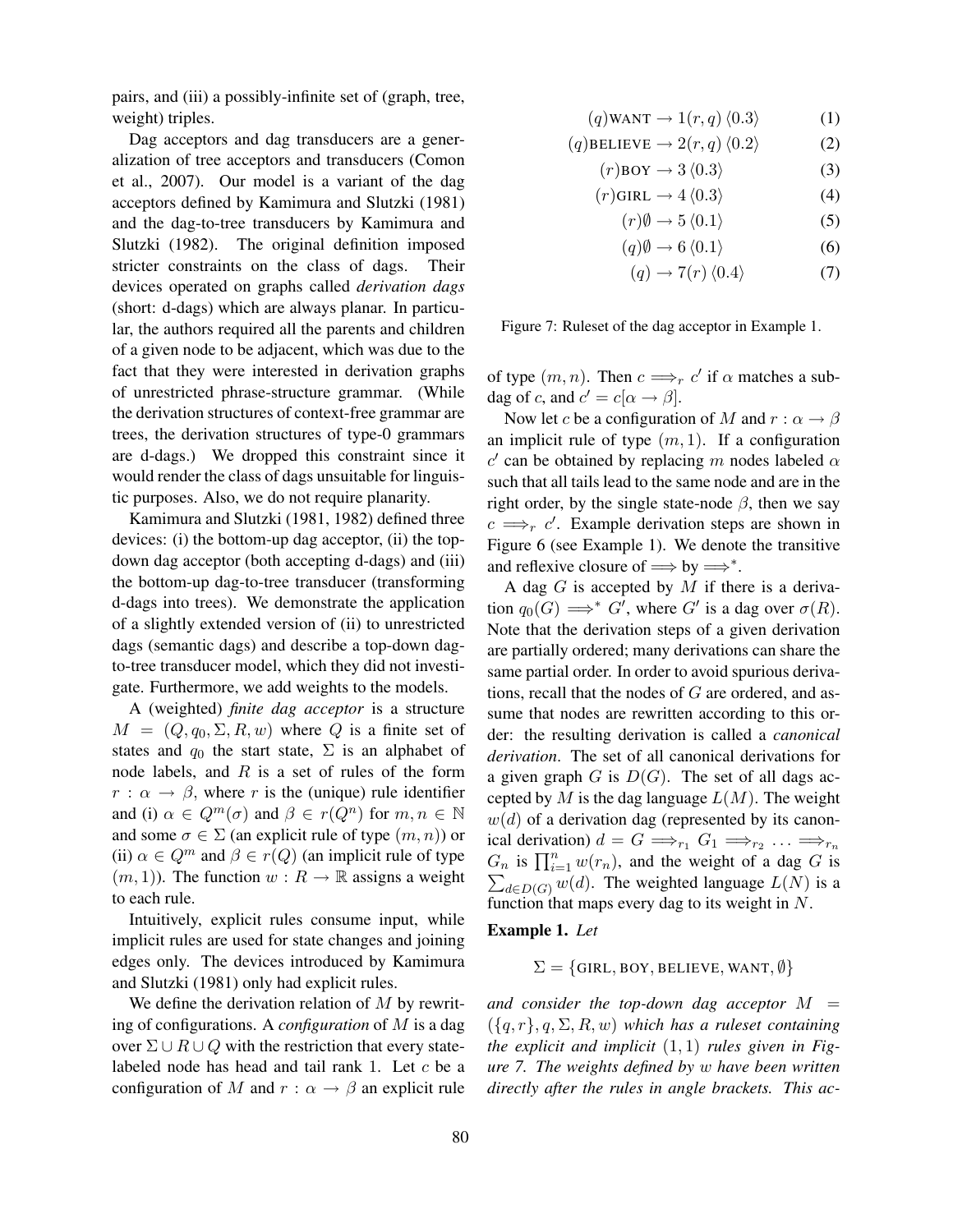pairs, and (iii) a possibly-infinite set of (graph, tree, weight) triples.

Dag acceptors and dag transducers are a generalization of tree acceptors and transducers (Comon et al., 2007). Our model is a variant of the dag acceptors defined by Kamimura and Slutzki (1981) and the dag-to-tree transducers by Kamimura and Slutzki (1982). The original definition imposed stricter constraints on the class of dags. Their devices operated on graphs called *derivation dags* (short: d-dags) which are always planar. In particular, the authors required all the parents and children of a given node to be adjacent, which was due to the fact that they were interested in derivation graphs of unrestricted phrase-structure grammar. (While the derivation structures of context-free grammar are trees, the derivation structures of type-0 grammars are d-dags.) We dropped this constraint since it would render the class of dags unsuitable for linguistic purposes. Also, we do not require planarity.

Kamimura and Slutzki (1981, 1982) defined three devices: (i) the bottom-up dag acceptor, (ii) the topdown dag acceptor (both accepting d-dags) and (iii) the bottom-up dag-to-tree transducer (transforming d-dags into trees). We demonstrate the application of a slightly extended version of (ii) to unrestricted dags (semantic dags) and describe a top-down dagto-tree transducer model, which they did not investigate. Furthermore, we add weights to the models.

A (weighted) *finite dag acceptor* is a structure  $M = (Q, q_0, \Sigma, R, w)$  where Q is a finite set of states and  $q_0$  the start state,  $\Sigma$  is an alphabet of node labels, and  $R$  is a set of rules of the form  $r : \alpha \to \beta$ , where r is the (unique) rule identifier and (i)  $\alpha \in Q^m(\sigma)$  and  $\beta \in r(Q^n)$  for  $m, n \in \mathbb{N}$ and some  $\sigma \in \Sigma$  (an explicit rule of type  $(m, n)$ ) or (ii)  $\alpha \in Q^m$  and  $\beta \in r(Q)$  (an implicit rule of type  $(m, 1)$ ). The function  $w : R \to \mathbb{R}$  assigns a weight to each rule.

Intuitively, explicit rules consume input, while implicit rules are used for state changes and joining edges only. The devices introduced by Kamimura and Slutzki (1981) only had explicit rules.

We define the derivation relation of  $M$  by rewriting of configurations. A *configuration* of M is a dag over  $\Sigma \cup R \cup Q$  with the restriction that every statelabeled node has head and tail rank 1. Let c be a configuration of M and  $r : \alpha \rightarrow \beta$  an explicit rule

$$
(q) \text{WANT} \to 1(r, q) \langle 0.3 \rangle \tag{1}
$$

$$
(q) BELIEVE \rightarrow 2(r, q) \langle 0.2 \rangle \tag{2}
$$

$$
(r) \text{BOY} \to 3 \langle 0.3 \rangle \tag{3}
$$

$$
(r)\text{GIRL} \to 4\langle 0.3 \rangle \tag{4}
$$

$$
(r)\emptyset \to 5\langle 0.1\rangle \tag{5}
$$

$$
(q)\emptyset \to 6\langle 0.1\rangle \tag{6}
$$

$$
(q) \rightarrow 7(r) \langle 0.4 \rangle \tag{7}
$$

Figure 7: Ruleset of the dag acceptor in Example 1.

of type  $(m, n)$ . Then  $c \Longrightarrow_r c'$  if  $\alpha$  matches a subdag of c, and  $c' = c[\alpha \rightarrow \beta]$ .

Now let c be a configuration of M and  $r : \alpha \to \beta$ an implicit rule of type  $(m, 1)$ . If a configuration c' can be obtained by replacing m nodes labeled  $\alpha$ such that all tails lead to the same node and are in the right order, by the single state-node  $\beta$ , then we say  $c \implies_{r} c'$ . Example derivation steps are shown in Figure 6 (see Example 1). We denote the transitive and reflexive closure of  $\implies$  by  $\implies^*$ .

A dag  $G$  is accepted by  $M$  if there is a derivation  $q_0(G) \implies^* G'$ , where G' is a dag over  $\sigma(R)$ . Note that the derivation steps of a given derivation are partially ordered; many derivations can share the same partial order. In order to avoid spurious derivations, recall that the nodes of G are ordered, and assume that nodes are rewritten according to this order: the resulting derivation is called a *canonical derivation*. The set of all canonical derivations for a given graph  $G$  is  $D(G)$ . The set of all dags accepted by M is the dag language  $L(M)$ . The weight  $w(d)$  of a derivation dag (represented by its canonical derivation)  $d = G \Longrightarrow_{r_1} G_1 \Longrightarrow_{r_2} \ldots \Longrightarrow_{r_n}$  $G_n$  is  $\prod_{i=1}^n w(r_n)$ , and the weight of a dag G is  $\sum_{d \in D(G)} w(d)$ . The weighted language  $L(N)$  is a function that maps every dag to its weight in N.

#### Example 1. *Let*

$$
\Sigma = \{\textsf{GIRL}, \textsf{BOY}, \textsf{BELIEVE}, \textsf{WANT}, \emptyset\}
$$

and consider the top-down dag acceptor  $M =$  $({q, r}, q, \Sigma, R, w)$  *which has a ruleset containing the explicit and implicit* (1, 1) *rules given in Figure 7. The weights defined by* w *have been written directly after the rules in angle brackets. This ac-*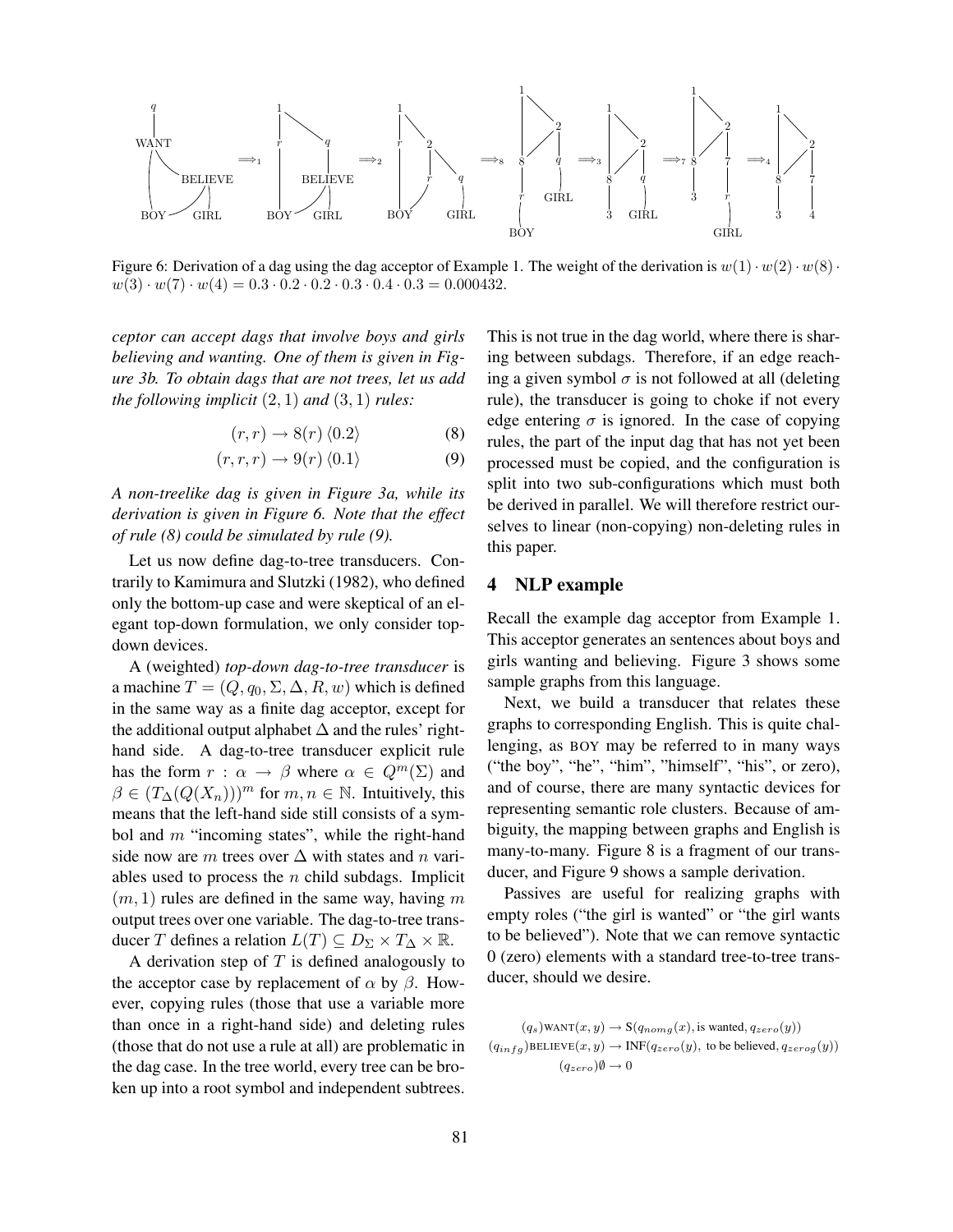

Figure 6: Derivation of a dag using the dag acceptor of Example 1. The weight of the derivation is  $w(1) \cdot w(2) \cdot w(8) \cdot w(8)$  $w(3) \cdot w(7) \cdot w(4) = 0.3 \cdot 0.2 \cdot 0.2 \cdot 0.3 \cdot 0.4 \cdot 0.3 = 0.000432.$ 

*ceptor can accept dags that involve boys and girls believing and wanting. One of them is given in Figure 3b. To obtain dags that are not trees, let us add the following implicit* (2, 1) *and* (3, 1) *rules:*

$$
(r,r) \to 8(r) \langle 0.2 \rangle \tag{8}
$$

$$
(r, r, r) \rightarrow 9(r) \langle 0.1 \rangle \tag{9}
$$

*A non-treelike dag is given in Figure 3a, while its derivation is given in Figure 6. Note that the effect of rule (8) could be simulated by rule (9).*

Let us now define dag-to-tree transducers. Contrarily to Kamimura and Slutzki (1982), who defined only the bottom-up case and were skeptical of an elegant top-down formulation, we only consider topdown devices.

A (weighted) *top-down dag-to-tree transducer* is a machine  $T = (Q, q_0, \Sigma, \Delta, R, w)$  which is defined in the same way as a finite dag acceptor, except for the additional output alphabet  $\Delta$  and the rules' righthand side. A dag-to-tree transducer explicit rule has the form  $r : \alpha \to \beta$  where  $\alpha \in Q^m(\Sigma)$  and  $\beta \in (T_{\Delta}(Q(X_n)))^m$  for  $m, n \in \mathbb{N}$ . Intuitively, this means that the left-hand side still consists of a symbol and  $m$  "incoming states", while the right-hand side now are m trees over  $\Delta$  with states and n variables used to process the  $n$  child subdags. Implicit  $(m, 1)$  rules are defined in the same way, having m output trees over one variable. The dag-to-tree transducer T defines a relation  $L(T) \subseteq D_{\Sigma} \times T_{\Delta} \times \mathbb{R}$ .

A derivation step of  $T$  is defined analogously to the acceptor case by replacement of  $\alpha$  by  $\beta$ . However, copying rules (those that use a variable more than once in a right-hand side) and deleting rules (those that do not use a rule at all) are problematic in the dag case. In the tree world, every tree can be broken up into a root symbol and independent subtrees.

This is not true in the dag world, where there is sharing between subdags. Therefore, if an edge reaching a given symbol  $\sigma$  is not followed at all (deleting rule), the transducer is going to choke if not every edge entering  $\sigma$  is ignored. In the case of copying rules, the part of the input dag that has not yet been processed must be copied, and the configuration is split into two sub-configurations which must both be derived in parallel. We will therefore restrict ourselves to linear (non-copying) non-deleting rules in this paper.

## 4 NLP example

Recall the example dag acceptor from Example 1. This acceptor generates an sentences about boys and girls wanting and believing. Figure 3 shows some sample graphs from this language.

Next, we build a transducer that relates these graphs to corresponding English. This is quite challenging, as BOY may be referred to in many ways ("the boy", "he", "him", "himself", "his", or zero), and of course, there are many syntactic devices for representing semantic role clusters. Because of ambiguity, the mapping between graphs and English is many-to-many. Figure 8 is a fragment of our transducer, and Figure 9 shows a sample derivation.

Passives are useful for realizing graphs with empty roles ("the girl is wanted" or "the girl wants to be believed"). Note that we can remove syntactic 0 (zero) elements with a standard tree-to-tree transducer, should we desire.

 $(q_s)$ WANT $(x, y) \rightarrow S(q_{nomg}(x),$  is wanted,  $q_{zero}(y)$ )  $(q_{infg})$ BELIEVE $(x, y) \rightarrow \text{INF}(q_{zero}(y))$ , to be believed,  $q_{zerog}(y)$ )  $(q_{zero})\emptyset \rightarrow 0$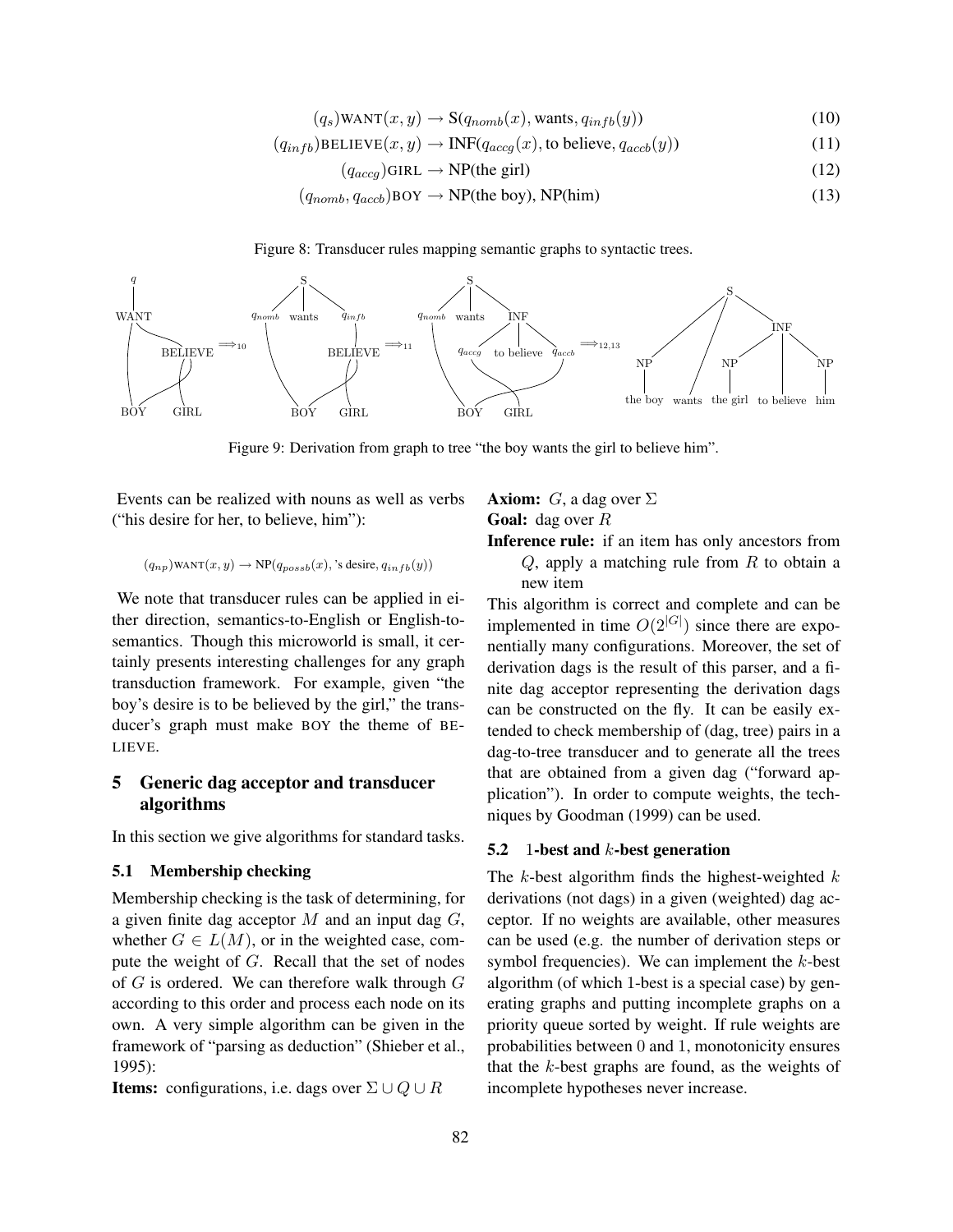$$
(q_s) \text{WANT}(x, y) \to \mathbf{S}(q_{nomb}(x), \text{wants}, q_{infb}(y)) \tag{10}
$$

$$
(q_{infb})\text{BELIEVE}(x, y) \to \text{INF}(q_{accg}(x), \text{to believe}, q_{accb}(y))
$$
\n(11)

$$
(q_{accg})\text{GIRL} \to \text{NP}(\text{the girl})\tag{12}
$$

$$
(q_{nomb}, q_{accb})\text{BOY} \to \text{NP(the boy)}, \text{NP(him)}
$$
\n(13)

Figure 8: Transducer rules mapping semantic graphs to syntactic trees.



Figure 9: Derivation from graph to tree "the boy wants the girl to believe him".

Events can be realized with nouns as well as verbs ("his desire for her, to believe, him"):

$$
(q_{np})\text{WANT}(x,y) \rightarrow \text{NP}(q_{possb}(x), \text{'s desire}, q_{infb}(y))
$$

We note that transducer rules can be applied in either direction, semantics-to-English or English-tosemantics. Though this microworld is small, it certainly presents interesting challenges for any graph transduction framework. For example, given "the boy's desire is to be believed by the girl," the transducer's graph must make BOY the theme of BE-LIEVE.

# 5 Generic dag acceptor and transducer algorithms

In this section we give algorithms for standard tasks.

## 5.1 Membership checking

Membership checking is the task of determining, for a given finite dag acceptor  $M$  and an input dag  $G$ , whether  $G \in L(M)$ , or in the weighted case, compute the weight of G. Recall that the set of nodes of  $G$  is ordered. We can therefore walk through  $G$ according to this order and process each node on its own. A very simple algorithm can be given in the framework of "parsing as deduction" (Shieber et al., 1995):

**Items:** configurations, i.e. dags over  $\Sigma \cup Q \cup R$ 

## **Axiom:** G, a dag over  $\Sigma$ **Goal:** dag over  $R$

Inference rule: if an item has only ancestors from  $Q$ , apply a matching rule from  $R$  to obtain a new item

This algorithm is correct and complete and can be implemented in time  $O(2^{|G|})$  since there are exponentially many configurations. Moreover, the set of derivation dags is the result of this parser, and a finite dag acceptor representing the derivation dags can be constructed on the fly. It can be easily extended to check membership of (dag, tree) pairs in a dag-to-tree transducer and to generate all the trees that are obtained from a given dag ("forward application"). In order to compute weights, the techniques by Goodman (1999) can be used.

#### 5.2 1-best and  $k$ -best generation

The  $k$ -best algorithm finds the highest-weighted  $k$ derivations (not dags) in a given (weighted) dag acceptor. If no weights are available, other measures can be used (e.g. the number of derivation steps or symbol frequencies). We can implement the  $k$ -best algorithm (of which 1-best is a special case) by generating graphs and putting incomplete graphs on a priority queue sorted by weight. If rule weights are probabilities between 0 and 1, monotonicity ensures that the  $k$ -best graphs are found, as the weights of incomplete hypotheses never increase.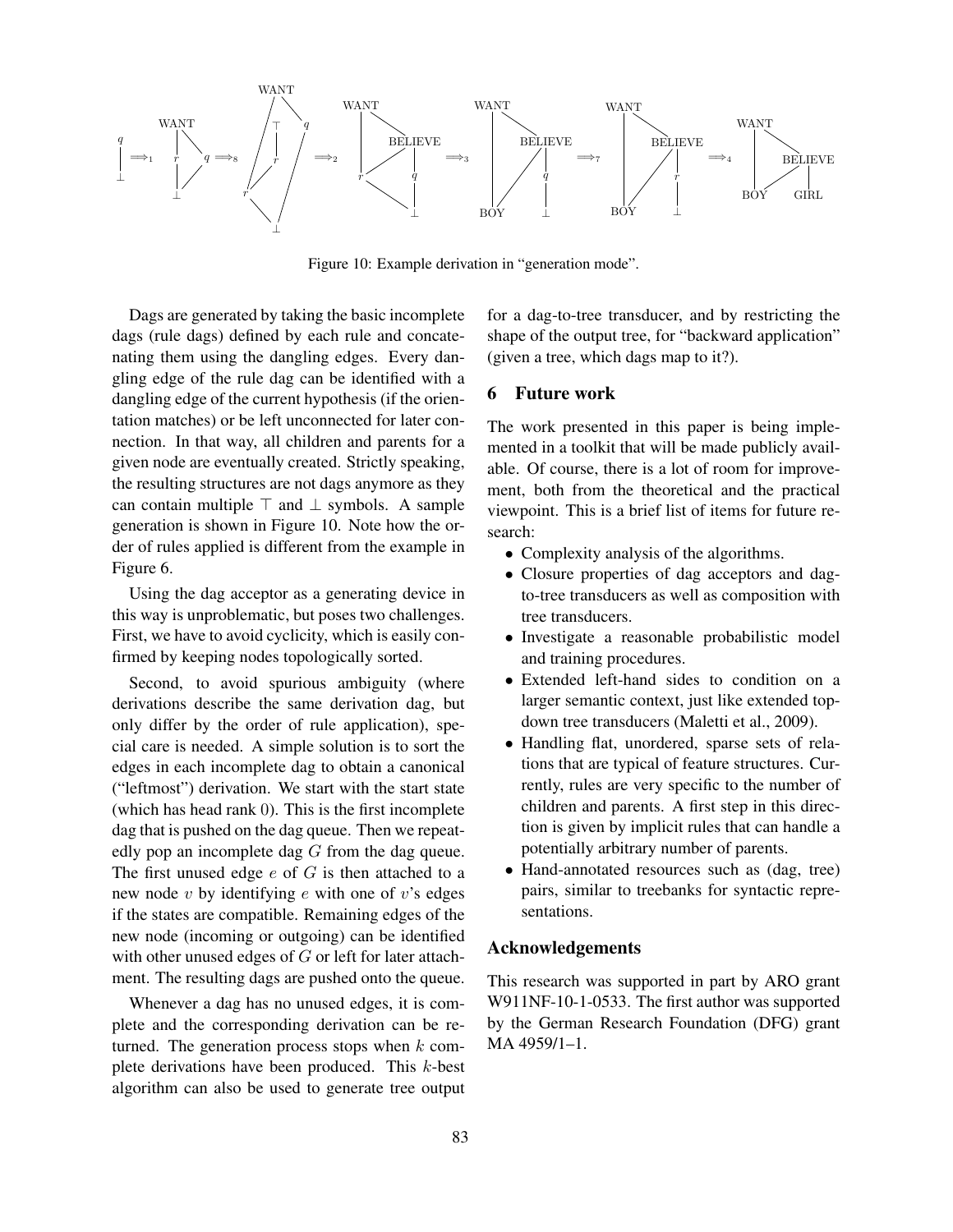

Figure 10: Example derivation in "generation mode".

Dags are generated by taking the basic incomplete dags (rule dags) defined by each rule and concatenating them using the dangling edges. Every dangling edge of the rule dag can be identified with a dangling edge of the current hypothesis (if the orientation matches) or be left unconnected for later connection. In that way, all children and parents for a given node are eventually created. Strictly speaking, the resulting structures are not dags anymore as they can contain multiple  $\top$  and  $\bot$  symbols. A sample generation is shown in Figure 10. Note how the order of rules applied is different from the example in Figure 6.

Using the dag acceptor as a generating device in this way is unproblematic, but poses two challenges. First, we have to avoid cyclicity, which is easily confirmed by keeping nodes topologically sorted.

Second, to avoid spurious ambiguity (where derivations describe the same derivation dag, but only differ by the order of rule application), special care is needed. A simple solution is to sort the edges in each incomplete dag to obtain a canonical ("leftmost") derivation. We start with the start state (which has head rank 0). This is the first incomplete dag that is pushed on the dag queue. Then we repeatedly pop an incomplete dag G from the dag queue. The first unused edge  $e$  of  $G$  is then attached to a new node  $v$  by identifying  $e$  with one of  $v$ 's edges if the states are compatible. Remaining edges of the new node (incoming or outgoing) can be identified with other unused edges of G or left for later attachment. The resulting dags are pushed onto the queue.

Whenever a dag has no unused edges, it is complete and the corresponding derivation can be returned. The generation process stops when  $k$  complete derivations have been produced. This k-best algorithm can also be used to generate tree output for a dag-to-tree transducer, and by restricting the shape of the output tree, for "backward application" (given a tree, which dags map to it?).

### 6 Future work

The work presented in this paper is being implemented in a toolkit that will be made publicly available. Of course, there is a lot of room for improvement, both from the theoretical and the practical viewpoint. This is a brief list of items for future research:

- Complexity analysis of the algorithms.
- Closure properties of dag acceptors and dagto-tree transducers as well as composition with tree transducers.
- Investigate a reasonable probabilistic model and training procedures.
- Extended left-hand sides to condition on a larger semantic context, just like extended topdown tree transducers (Maletti et al., 2009).
- Handling flat, unordered, sparse sets of relations that are typical of feature structures. Currently, rules are very specific to the number of children and parents. A first step in this direction is given by implicit rules that can handle a potentially arbitrary number of parents.
- Hand-annotated resources such as (dag, tree) pairs, similar to treebanks for syntactic representations.

## Acknowledgements

This research was supported in part by ARO grant W911NF-10-1-0533. The first author was supported by the German Research Foundation (DFG) grant MA 4959/1–1.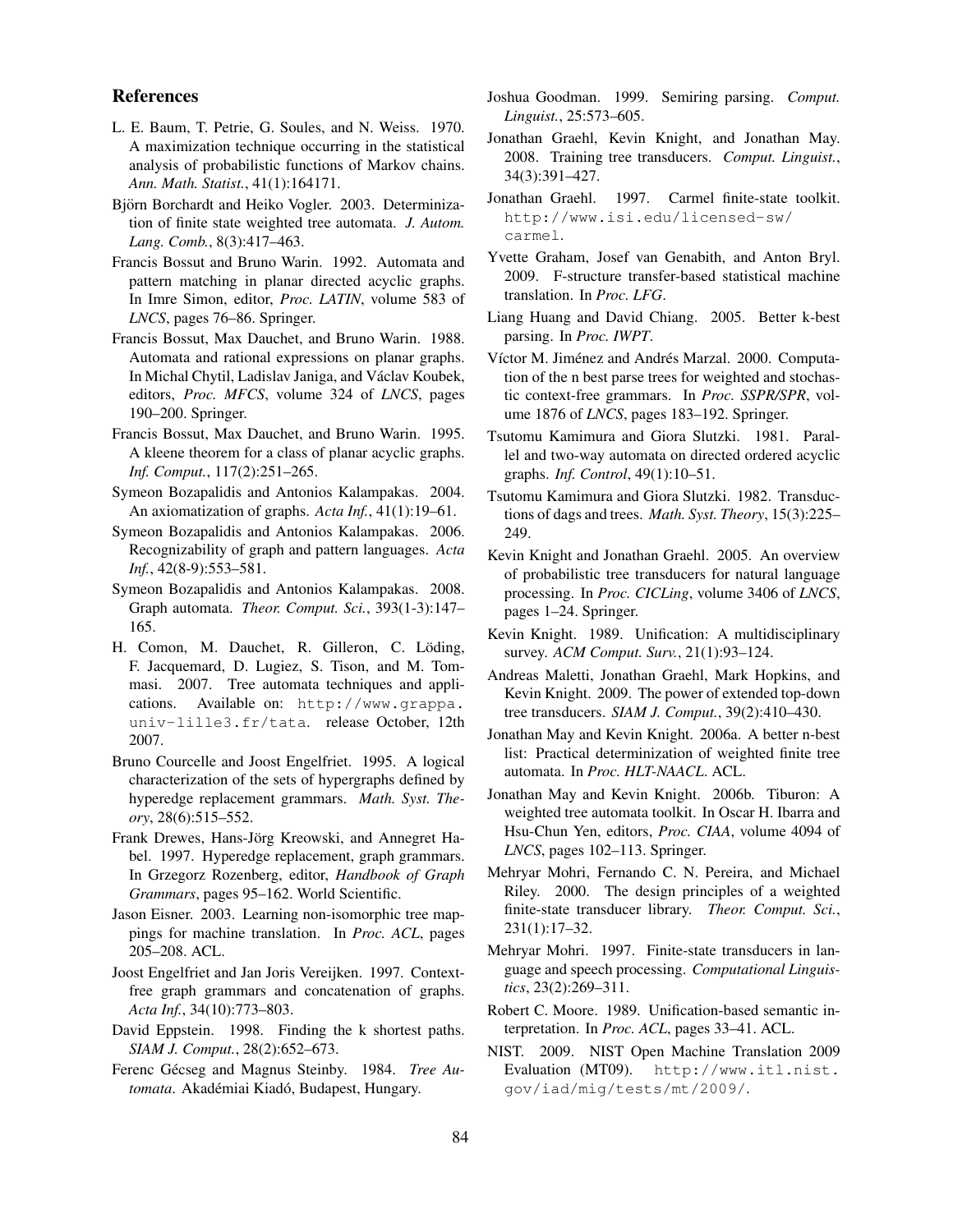### References

- L. E. Baum, T. Petrie, G. Soules, and N. Weiss. 1970. A maximization technique occurring in the statistical analysis of probabilistic functions of Markov chains. *Ann. Math. Statist.*, 41(1):164171.
- Björn Borchardt and Heiko Vogler. 2003. Determinization of finite state weighted tree automata. *J. Autom. Lang. Comb.*, 8(3):417–463.
- Francis Bossut and Bruno Warin. 1992. Automata and pattern matching in planar directed acyclic graphs. In Imre Simon, editor, *Proc. LATIN*, volume 583 of *LNCS*, pages 76–86. Springer.
- Francis Bossut, Max Dauchet, and Bruno Warin. 1988. Automata and rational expressions on planar graphs. In Michal Chytil, Ladislav Janiga, and Václav Koubek, editors, *Proc. MFCS*, volume 324 of *LNCS*, pages 190–200. Springer.
- Francis Bossut, Max Dauchet, and Bruno Warin. 1995. A kleene theorem for a class of planar acyclic graphs. *Inf. Comput.*, 117(2):251–265.
- Symeon Bozapalidis and Antonios Kalampakas. 2004. An axiomatization of graphs. *Acta Inf.*, 41(1):19–61.
- Symeon Bozapalidis and Antonios Kalampakas. 2006. Recognizability of graph and pattern languages. *Acta Inf.*, 42(8-9):553–581.
- Symeon Bozapalidis and Antonios Kalampakas. 2008. Graph automata. *Theor. Comput. Sci.*, 393(1-3):147– 165.
- H. Comon, M. Dauchet, R. Gilleron, C. Löding, F. Jacquemard, D. Lugiez, S. Tison, and M. Tommasi. 2007. Tree automata techniques and applications. Available on: http://www.grappa. univ-lille3.fr/tata. release October, 12th 2007.
- Bruno Courcelle and Joost Engelfriet. 1995. A logical characterization of the sets of hypergraphs defined by hyperedge replacement grammars. *Math. Syst. Theory*, 28(6):515–552.
- Frank Drewes, Hans-Jörg Kreowski, and Annegret Habel. 1997. Hyperedge replacement, graph grammars. In Grzegorz Rozenberg, editor, *Handbook of Graph Grammars*, pages 95–162. World Scientific.
- Jason Eisner. 2003. Learning non-isomorphic tree mappings for machine translation. In *Proc. ACL*, pages 205–208. ACL.
- Joost Engelfriet and Jan Joris Vereijken. 1997. Contextfree graph grammars and concatenation of graphs. *Acta Inf.*, 34(10):773–803.
- David Eppstein. 1998. Finding the k shortest paths. *SIAM J. Comput.*, 28(2):652–673.
- Ferenc Gécseg and Magnus Steinby. 1984. Tree Au*tomata*. Akadémiai Kiadó, Budapest, Hungary.
- Joshua Goodman. 1999. Semiring parsing. *Comput. Linguist.*, 25:573–605.
- Jonathan Graehl, Kevin Knight, and Jonathan May. 2008. Training tree transducers. *Comput. Linguist.*, 34(3):391–427.
- Jonathan Graehl. 1997. Carmel finite-state toolkit. http://www.isi.edu/licensed-sw/ carmel.
- Yvette Graham, Josef van Genabith, and Anton Bryl. 2009. F-structure transfer-based statistical machine translation. In *Proc. LFG*.
- Liang Huang and David Chiang. 2005. Better k-best parsing. In *Proc. IWPT*.
- Víctor M. Jiménez and Andrés Marzal. 2000. Computation of the n best parse trees for weighted and stochastic context-free grammars. In *Proc. SSPR/SPR*, volume 1876 of *LNCS*, pages 183–192. Springer.
- Tsutomu Kamimura and Giora Slutzki. 1981. Parallel and two-way automata on directed ordered acyclic graphs. *Inf. Control*, 49(1):10–51.
- Tsutomu Kamimura and Giora Slutzki. 1982. Transductions of dags and trees. *Math. Syst. Theory*, 15(3):225– 249.
- Kevin Knight and Jonathan Graehl. 2005. An overview of probabilistic tree transducers for natural language processing. In *Proc. CICLing*, volume 3406 of *LNCS*, pages 1–24. Springer.
- Kevin Knight. 1989. Unification: A multidisciplinary survey. *ACM Comput. Surv.*, 21(1):93–124.
- Andreas Maletti, Jonathan Graehl, Mark Hopkins, and Kevin Knight. 2009. The power of extended top-down tree transducers. *SIAM J. Comput.*, 39(2):410–430.
- Jonathan May and Kevin Knight. 2006a. A better n-best list: Practical determinization of weighted finite tree automata. In *Proc. HLT-NAACL*. ACL.
- Jonathan May and Kevin Knight. 2006b. Tiburon: A weighted tree automata toolkit. In Oscar H. Ibarra and Hsu-Chun Yen, editors, *Proc. CIAA*, volume 4094 of *LNCS*, pages 102–113. Springer.
- Mehryar Mohri, Fernando C. N. Pereira, and Michael Riley. 2000. The design principles of a weighted finite-state transducer library. *Theor. Comput. Sci.*, 231(1):17–32.
- Mehryar Mohri. 1997. Finite-state transducers in language and speech processing. *Computational Linguistics*, 23(2):269–311.
- Robert C. Moore. 1989. Unification-based semantic interpretation. In *Proc. ACL*, pages 33–41. ACL.
- NIST. 2009. NIST Open Machine Translation 2009 Evaluation (MT09). http://www.itl.nist. gov/iad/mig/tests/mt/2009/.